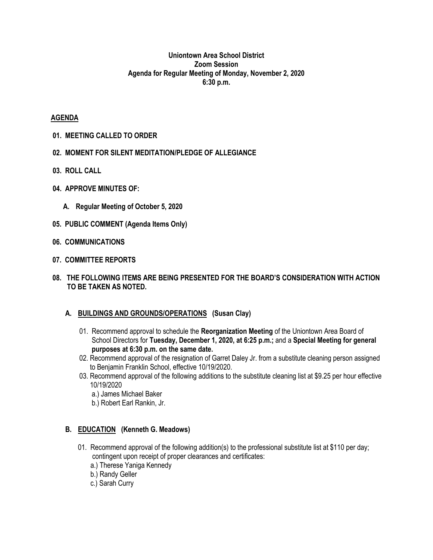#### **Uniontown Area School District Zoom Session Agenda for Regular Meeting of Monday, November 2, 2020 6:30 p.m.**

#### **AGENDA**

- **01. MEETING CALLED TO ORDER**
- **02. MOMENT FOR SILENT MEDITATION/PLEDGE OF ALLEGIANCE**
- **03. ROLL CALL**
- **04. APPROVE MINUTES OF:**
	- **A. Regular Meeting of October 5, 2020**
- **05. PUBLIC COMMENT (Agenda Items Only)**
- **06. COMMUNICATIONS**
- **07. COMMITTEE REPORTS**
- **08. THE FOLLOWING ITEMS ARE BEING PRESENTED FOR THE BOARD'S CONSIDERATION WITH ACTION TO BE TAKEN AS NOTED.**

#### **A. BUILDINGS AND GROUNDS/OPERATIONS (Susan Clay)**

- 01. Recommend approval to schedule the **Reorganization Meeting** of the Uniontown Area Board of School Directors for **Tuesday, December 1, 2020, at 6:25 p.m.;** and a **Special Meeting for general purposes at 6:30 p.m. on the same date.**
- 02. Recommend approval of the resignation of Garret Daley Jr. from a substitute cleaning person assigned to Benjamin Franklin School, effective 10/19/2020.
- 03. Recommend approval of the following additions to the substitute cleaning list at \$9.25 per hour effective 10/19/2020
	- a.) James Michael Baker
	- b.) Robert Earl Rankin, Jr.

# **B. EDUCATION (Kenneth G. Meadows)**

- 01. Recommend approval of the following addition(s) to the professional substitute list at \$110 per day; contingent upon receipt of proper clearances and certificates:
	- a.) Therese Yaniga Kennedy
	- b.) Randy Geller
	- c.) Sarah Curry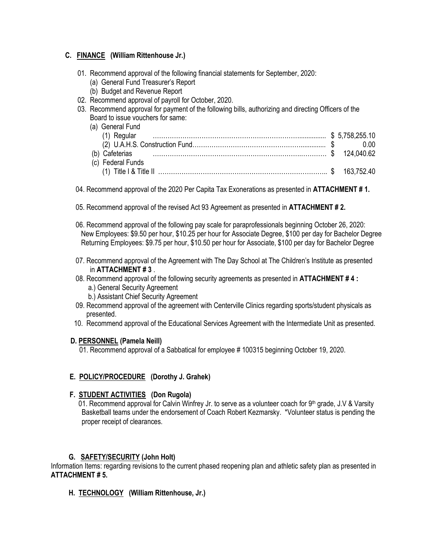# **C. FINANCE (William Rittenhouse Jr.)**

- 01. Recommend approval of the following financial statements for September, 2020:
	- (a) General Fund Treasurer's Report
	- (b) Budget and Revenue Report
- 02. Recommend approval of payroll for October, 2020.
- 03. Recommend approval for payment of the following bills, authorizing and directing Officers of the Board to issue vouchers for same:

| (a) General Fund           |  |
|----------------------------|--|
|                            |  |
|                            |  |
| (b) Cafeterias 2124,040.62 |  |
| (c) Federal Funds          |  |
|                            |  |

04. Recommend approval of the 2020 Per Capita Tax Exonerations as presented in **ATTACHMENT # 1.**

- 05. Recommend approval of the revised Act 93 Agreement as presented in **ATTACHMENT # 2.**
- 06. Recommend approval of the following pay scale for paraprofessionals beginning October 26, 2020: New Employees: \$9.50 per hour, \$10.25 per hour for Associate Degree, \$100 per day for Bachelor Degree Returning Employees: \$9.75 per hour, \$10.50 per hour for Associate, \$100 per day for Bachelor Degree
- 07. Recommend approval of the Agreement with The Day School at The Children's Institute as presented in **ATTACHMENT # 3** .
- 08. Recommend approval of the following security agreements as presented in **ATTACHMENT # 4 :** a.) General Security Agreement
	- b.) Assistant Chief Security Agreement
- 09. Recommend approval of the agreement with Centerville Clinics regarding sports/student physicals as presented.
- 10. Recommend approval of the Educational Services Agreement with the Intermediate Unit as presented.

# **D. PERSONNEL (Pamela Neill)**

01. Recommend approval of a Sabbatical for employee # 100315 beginning October 19, 2020.

# **E. POLICY/PROCEDURE (Dorothy J. Grahek)**

# **F. STUDENT ACTIVITIES (Don Rugola)**

01. Recommend approval for Calvin Winfrey Jr. to serve as a volunteer coach for  $9<sup>th</sup>$  grade, J.V & Varsity Basketball teams under the endorsement of Coach Robert Kezmarsky. \*Volunteer status is pending the proper receipt of clearances.

# **G. SAFETY/SECURITY (John Holt)**

Information Items: regarding revisions to the current phased reopening plan and athletic safety plan as presented in **ATTACHMENT # 5.**

# **H. TECHNOLOGY (William Rittenhouse, Jr.)**